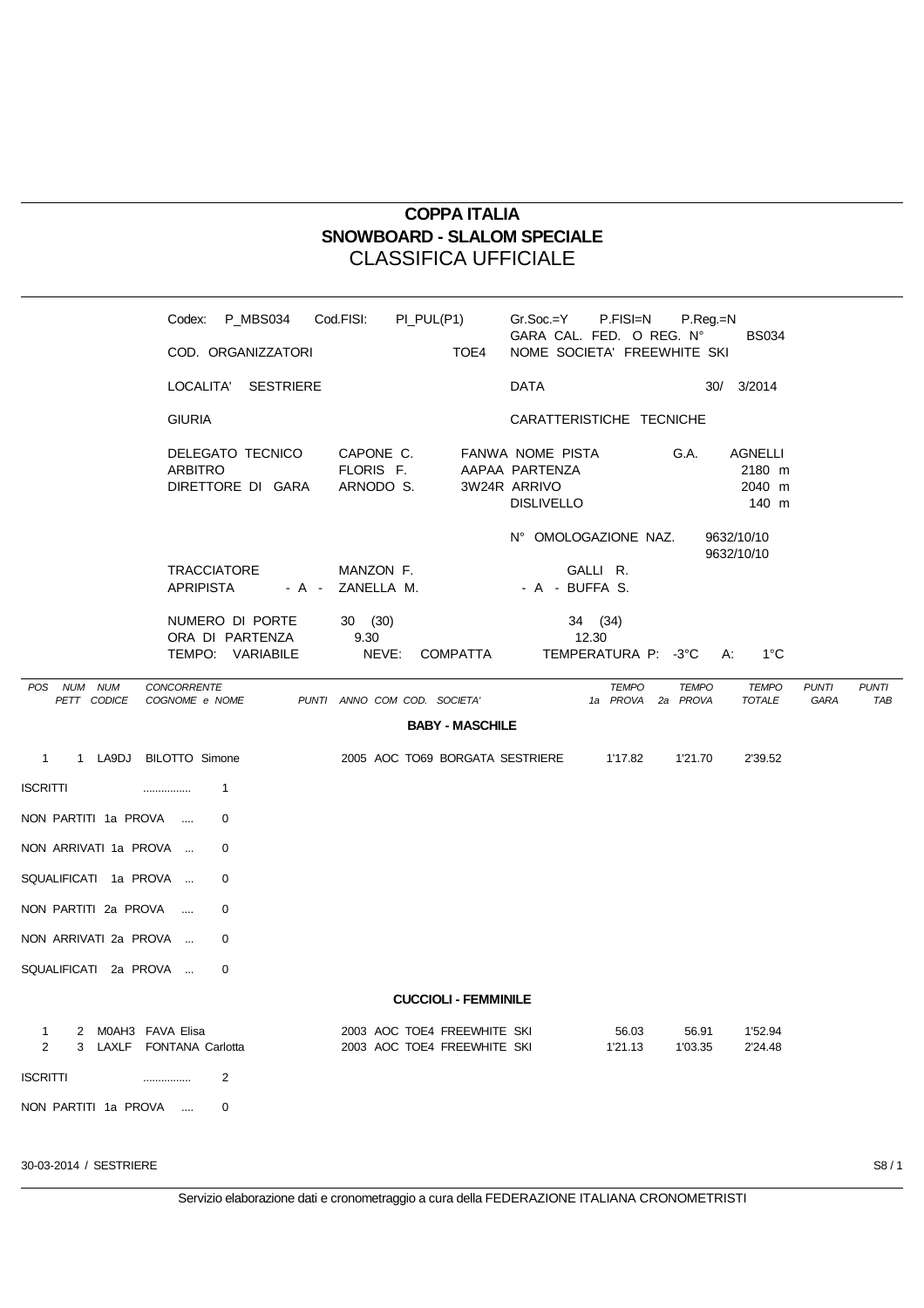## **COPPA ITALIA SNOWBOARD - SLALOM SPECIALE** CLASSIFICA UFFICIALE

|                                                                     |                                 | Codex: P_MBS034 Cod.FISI:                              |                               | PI_PUL(P1) |                                                            | Gr.Soc.=Y                                                               | P.FISI=N                                   | P.Reg.=N         |                                      |                      |                     |
|---------------------------------------------------------------------|---------------------------------|--------------------------------------------------------|-------------------------------|------------|------------------------------------------------------------|-------------------------------------------------------------------------|--------------------------------------------|------------------|--------------------------------------|----------------------|---------------------|
|                                                                     |                                 | COD. ORGANIZZATORI                                     |                               |            | TOE4                                                       | GARA CAL. FED. O REG. Nº<br>NOME SOCIETA' FREEWHITE SKI                 |                                            |                  | <b>BS034</b>                         |                      |                     |
|                                                                     |                                 | LOCALITA' SESTRIERE                                    |                               |            |                                                            | DATA                                                                    |                                            |                  | 30/ 3/2014                           |                      |                     |
|                                                                     | <b>GIURIA</b>                   |                                                        |                               |            |                                                            | CARATTERISTICHE TECNICHE                                                |                                            |                  |                                      |                      |                     |
|                                                                     | ARBITRO                         | DELEGATO TECNICO CAPONE C.<br>DIRETTORE DI GARA        | FLORIS F.<br>ARNODO S.        |            |                                                            | FANWA NOME PISTA<br>AAPAA PARTENZA<br>3W24R ARRIVO<br><b>DISLIVELLO</b> |                                            | G.A.             | AGNELLI<br>2180 m<br>2040 m<br>140 m |                      |                     |
|                                                                     |                                 |                                                        |                               |            |                                                            | N° OMOLOGAZIONE NAZ.                                                    |                                            |                  | 9632/10/10<br>9632/10/10             |                      |                     |
|                                                                     | TRACCIATORE<br><b>APRIPISTA</b> |                                                        | MANZON F.<br>- A - ZANELLA M. |            |                                                            | - A - BUFFA S.                                                          | GALLI R.                                   |                  |                                      |                      |                     |
|                                                                     |                                 | NUMERO DI PORTE<br>ORA DI PARTENZA<br>TEMPO: VARIABILE | 30(30)<br>9.30                |            | NEVE: COMPATTA                                             |                                                                         | 34 (34)<br>12.30<br>TEMPERATURA P: -3°C A: |                  | 1°C                                  |                      |                     |
| POS NUM NUM<br>PETT CODICE                                          | CONCORRENTE<br>COGNOME e NOME   |                                                        | PUNTI ANNO COM COD. SOCIETA'  |            | <b>BABY - MASCHILE</b>                                     |                                                                         | <b>TEMPO</b><br>1a PROVA 2a PROVA          | <b>TEMPO</b>     | <b>TEMPO</b><br>TOTALE               | <b>PUNTI</b><br>GARA | <b>PUNTI</b><br>TAE |
| 1 1 LA9DJ BILOTTO Simone                                            |                                 |                                                        |                               |            |                                                            | 2005 AOC TO69 BORGATA SESTRIERE 1'17.82                                 |                                            | 1'21.70          | 2'39.52                              |                      |                     |
| ISCRITTI                                                            | .                               | 1                                                      |                               |            |                                                            |                                                                         |                                            |                  |                                      |                      |                     |
| NON PARTITI 1a PROVA                                                |                                 | $\Omega$                                               |                               |            |                                                            |                                                                         |                                            |                  |                                      |                      |                     |
| NON ARRIVATI 1a PROVA                                               |                                 | 0                                                      |                               |            |                                                            |                                                                         |                                            |                  |                                      |                      |                     |
| SQUALIFICATI 1a PROVA                                               |                                 | 0                                                      |                               |            |                                                            |                                                                         |                                            |                  |                                      |                      |                     |
| NON PARTITI 2a PROVA                                                |                                 | 0                                                      |                               |            |                                                            |                                                                         |                                            |                  |                                      |                      |                     |
| NON ARRIVATI 2a PROVA                                               |                                 | 0                                                      |                               |            |                                                            |                                                                         |                                            |                  |                                      |                      |                     |
| SQUALIFICATI 2a PROVA                                               |                                 | 0                                                      |                               |            |                                                            |                                                                         |                                            |                  |                                      |                      |                     |
|                                                                     |                                 |                                                        |                               |            | <b>CUCCIOLI - FEMMINILE</b>                                |                                                                         |                                            |                  |                                      |                      |                     |
| 2 M0AH3 FAVA Elisa<br>$\mathbf{1}$<br>2<br>3 LAXLF FONTANA Carlotta |                                 |                                                        |                               |            | 2003 AOC TOE4 FREEWHITE SKI<br>2003 AOC TOE4 FREEWHITE SKI |                                                                         | 56.03<br>1'21.13                           | 56.91<br>1'03.35 | 1'52.94<br>2'24.48                   |                      |                     |
| <b>ISCRITTI</b>                                                     |                                 | 2                                                      |                               |            |                                                            |                                                                         |                                            |                  |                                      |                      |                     |
| NON PARTITI 1a PROVA                                                |                                 | 0                                                      |                               |            |                                                            |                                                                         |                                            |                  |                                      |                      |                     |

30-03-2014 / SESTRIERE S8 / 1